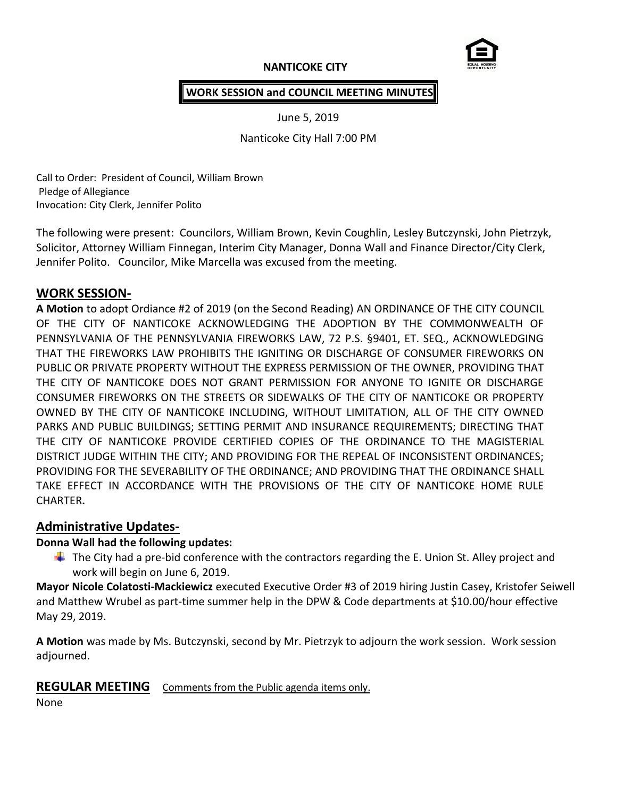# **NANTICOKE CITY**



#### **WORK SESSION and COUNCIL MEETING MINUTES**

June 5, 2019

Nanticoke City Hall 7:00 PM

Call to Order: President of Council, William Brown Pledge of Allegiance Invocation: City Clerk, Jennifer Polito

The following were present: Councilors, William Brown, Kevin Coughlin, Lesley Butczynski, John Pietrzyk, Solicitor, Attorney William Finnegan, Interim City Manager, Donna Wall and Finance Director/City Clerk, Jennifer Polito. Councilor, Mike Marcella was excused from the meeting.

# **WORK SESSION-**

**A Motion** to adopt Ordiance #2 of 2019 (on the Second Reading) AN ORDINANCE OF THE CITY COUNCIL OF THE CITY OF NANTICOKE ACKNOWLEDGING THE ADOPTION BY THE COMMONWEALTH OF PENNSYLVANIA OF THE PENNSYLVANIA FIREWORKS LAW, 72 P.S. §9401, ET. SEQ., ACKNOWLEDGING THAT THE FIREWORKS LAW PROHIBITS THE IGNITING OR DISCHARGE OF CONSUMER FIREWORKS ON PUBLIC OR PRIVATE PROPERTY WITHOUT THE EXPRESS PERMISSION OF THE OWNER, PROVIDING THAT THE CITY OF NANTICOKE DOES NOT GRANT PERMISSION FOR ANYONE TO IGNITE OR DISCHARGE CONSUMER FIREWORKS ON THE STREETS OR SIDEWALKS OF THE CITY OF NANTICOKE OR PROPERTY OWNED BY THE CITY OF NANTICOKE INCLUDING, WITHOUT LIMITATION, ALL OF THE CITY OWNED PARKS AND PUBLIC BUILDINGS; SETTING PERMIT AND INSURANCE REQUIREMENTS; DIRECTING THAT THE CITY OF NANTICOKE PROVIDE CERTIFIED COPIES OF THE ORDINANCE TO THE MAGISTERIAL DISTRICT JUDGE WITHIN THE CITY; AND PROVIDING FOR THE REPEAL OF INCONSISTENT ORDINANCES; PROVIDING FOR THE SEVERABILITY OF THE ORDINANCE; AND PROVIDING THAT THE ORDINANCE SHALL TAKE EFFECT IN ACCORDANCE WITH THE PROVISIONS OF THE CITY OF NANTICOKE HOME RULE CHARTER**.**

# **Administrative Updates-**

#### **Donna Wall had the following updates:**

 $\ddot{\phantom{1}}$  The City had a pre-bid conference with the contractors regarding the E. Union St. Alley project and work will begin on June 6, 2019.

**Mayor Nicole Colatosti-Mackiewicz** executed Executive Order #3 of 2019 hiring Justin Casey, Kristofer Seiwell and Matthew Wrubel as part-time summer help in the DPW & Code departments at \$10.00/hour effective May 29, 2019.

**A Motion** was made by Ms. Butczynski, second by Mr. Pietrzyk to adjourn the work session. Work session adjourned.

# **REGULAR MEETING** Comments from the Public agenda items only.

None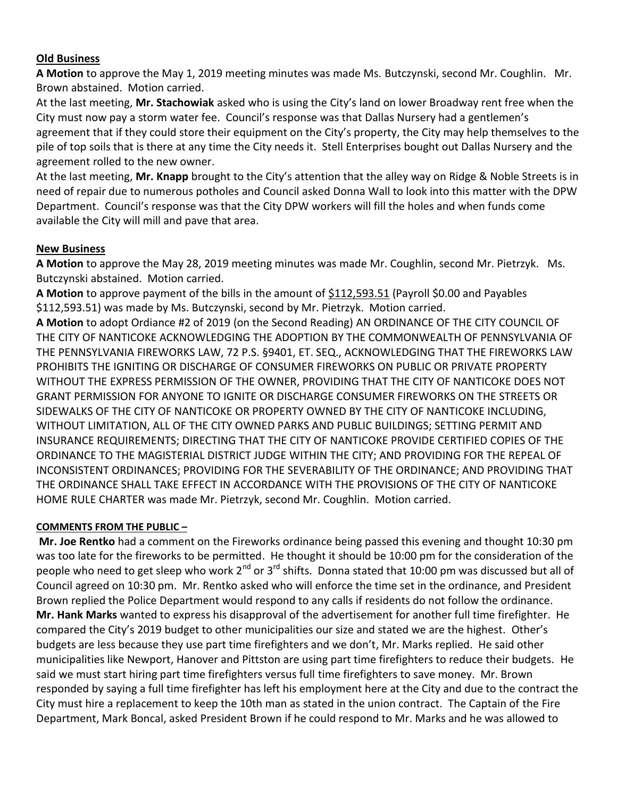#### **Old Business**

**A Motion** to approve the May 1, 2019 meeting minutes was made Ms. Butczynski, second Mr. Coughlin. Mr. Brown abstained. Motion carried.

At the last meeting, **Mr. Stachowiak** asked who is using the City's land on lower Broadway rent free when the City must now pay a storm water fee. Council's response was that Dallas Nursery had a gentlemen's agreement that if they could store their equipment on the City's property, the City may help themselves to the pile of top soils that is there at any time the City needs it. Stell Enterprises bought out Dallas Nursery and the agreement rolled to the new owner.

At the last meeting, **Mr. Knapp** brought to the City's attention that the alley way on Ridge & Noble Streets is in need of repair due to numerous potholes and Council asked Donna Wall to look into this matter with the DPW Department. Council's response was that the City DPW workers will fill the holes and when funds come available the City will mill and pave that area.

# **New Business**

**A Motion** to approve the May 28, 2019 meeting minutes was made Mr. Coughlin, second Mr. Pietrzyk. Ms. Butczynski abstained. Motion carried.

A Motion to approve payment of the bills in the amount of \$112,593.51 (Payroll \$0.00 and Payables \$112,593.51) was made by Ms. Butczynski, second by Mr. Pietrzyk. Motion carried.

**A Motion** to adopt Ordiance #2 of 2019 (on the Second Reading) AN ORDINANCE OF THE CITY COUNCIL OF THE CITY OF NANTICOKE ACKNOWLEDGING THE ADOPTION BY THE COMMONWEALTH OF PENNSYLVANIA OF THE PENNSYLVANIA FIREWORKS LAW, 72 P.S. §9401, ET. SEQ., ACKNOWLEDGING THAT THE FIREWORKS LAW PROHIBITS THE IGNITING OR DISCHARGE OF CONSUMER FIREWORKS ON PUBLIC OR PRIVATE PROPERTY WITHOUT THE EXPRESS PERMISSION OF THE OWNER, PROVIDING THAT THE CITY OF NANTICOKE DOES NOT GRANT PERMISSION FOR ANYONE TO IGNITE OR DISCHARGE CONSUMER FIREWORKS ON THE STREETS OR SIDEWALKS OF THE CITY OF NANTICOKE OR PROPERTY OWNED BY THE CITY OF NANTICOKE INCLUDING, WITHOUT LIMITATION, ALL OF THE CITY OWNED PARKS AND PUBLIC BUILDINGS; SETTING PERMIT AND INSURANCE REQUIREMENTS; DIRECTING THAT THE CITY OF NANTICOKE PROVIDE CERTIFIED COPIES OF THE ORDINANCE TO THE MAGISTERIAL DISTRICT JUDGE WITHIN THE CITY; AND PROVIDING FOR THE REPEAL OF INCONSISTENT ORDINANCES; PROVIDING FOR THE SEVERABILITY OF THE ORDINANCE; AND PROVIDING THAT THE ORDINANCE SHALL TAKE EFFECT IN ACCORDANCE WITH THE PROVISIONS OF THE CITY OF NANTICOKE HOME RULE CHARTER was made Mr. Pietrzyk, second Mr. Coughlin. Motion carried.

#### **COMMENTS FROM THE PUBLIC –**

**Mr. Joe Rentko** had a comment on the Fireworks ordinance being passed this evening and thought 10:30 pm was too late for the fireworks to be permitted. He thought it should be 10:00 pm for the consideration of the people who need to get sleep who work  $2^{nd}$  or  $3^{rd}$  shifts. Donna stated that 10:00 pm was discussed but all of Council agreed on 10:30 pm. Mr. Rentko asked who will enforce the time set in the ordinance, and President Brown replied the Police Department would respond to any calls if residents do not follow the ordinance. **Mr. Hank Marks** wanted to express his disapproval of the advertisement for another full time firefighter. He compared the City's 2019 budget to other municipalities our size and stated we are the highest. Other's budgets are less because they use part time firefighters and we don't, Mr. Marks replied. He said other municipalities like Newport, Hanover and Pittston are using part time firefighters to reduce their budgets. He said we must start hiring part time firefighters versus full time firefighters to save money. Mr. Brown responded by saying a full time firefighter has left his employment here at the City and due to the contract the City must hire a replacement to keep the 10th man as stated in the union contract. The Captain of the Fire Department, Mark Boncal, asked President Brown if he could respond to Mr. Marks and he was allowed to